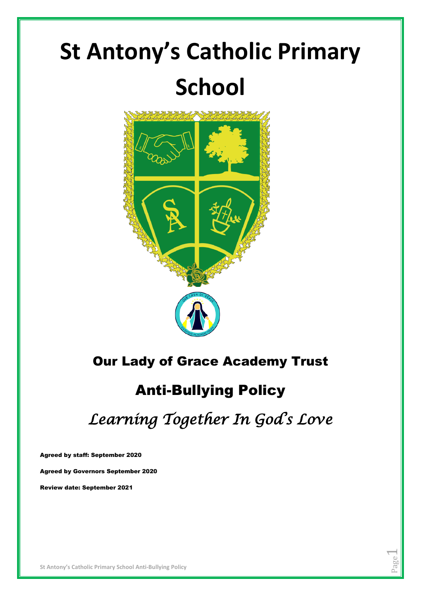# **St Antony's Catholic Primary School**



# Our Lady of Grace Academy Trust

# Anti-Bullying Policy

*Learning Together In God's Love* 

Page  $\overline{\phantom{0}}$ 

Agreed by staff: September 2020

Agreed by Governors September 2020

Review date: September 2021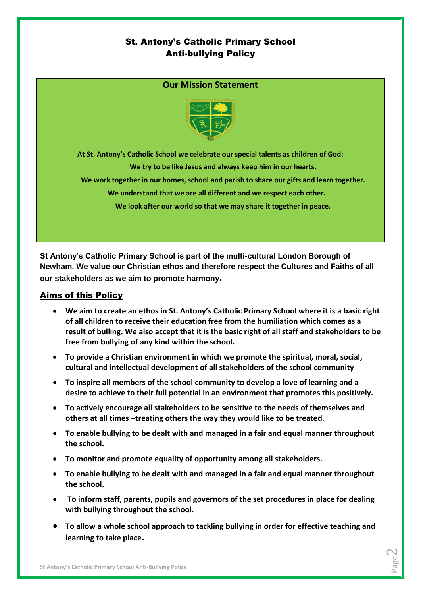# St. Antony's Catholic Primary School Anti-bullying Policy

## **Our Mission Statement**



**At St. Antony's Catholic School we celebrate our special talents as children of God:**

**We try to be like Jesus and always keep him in our hearts.**

**We work together in our homes, school and parish to share our gifts and learn together.**

**We understand that we are all different and we respect each other.**

**We look after our world so that we may share it together in peace.**

**St Antony's Catholic Primary School is part of the multi-cultural London Borough of Newham. We value our Christian ethos and therefore respect the Cultures and Faiths of all our stakeholders as we aim to promote harmony**.

#### Aims of this Policy

- **We aim to create an ethos in St. Antony's Catholic Primary School where it is a basic right of all children to receive their education free from the humiliation which comes as a result of bulling. We also accept that it is the basic right of all staff and stakeholders to be free from bullying of any kind within the school.**
- **To provide a Christian environment in which we promote the spiritual, moral, social, cultural and intellectual development of all stakeholders of the school community**
- **To inspire all members of the school community to develop a love of learning and a desire to achieve to their full potential in an environment that promotes this positively.**
- **To actively encourage all stakeholders to be sensitive to the needs of themselves and others at all times –treating others the way they would like to be treated.**
- **To enable bullying to be dealt with and managed in a fair and equal manner throughout the school.**
- **To monitor and promote equality of opportunity among all stakeholders.**
- **To enable bullying to be dealt with and managed in a fair and equal manner throughout the school.**
- **To inform staff, parents, pupils and governors of the set procedures in place for dealing with bullying throughout the school.**
- **To allow a whole school approach to tackling bullying in order for effective teaching and learning to take place.**

Page  $\mathrel{\sim}$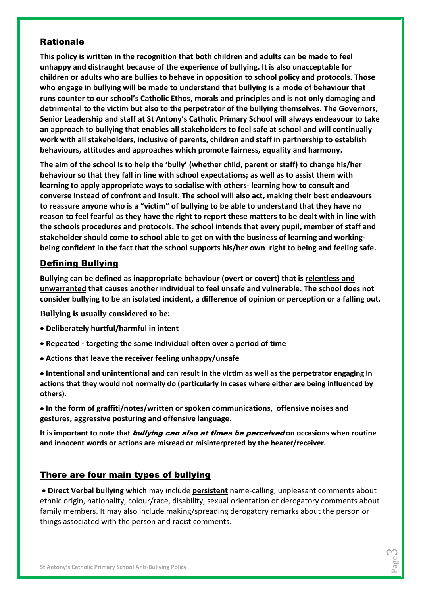# Rationale

**This policy is written in the recognition that both children and adults can be made to feel unhappy and distraught because of the experience of bullying. It is also unacceptable for children or adults who are bullies to behave in opposition to school policy and protocols. Those who engage in bullying will be made to understand that bullying is a mode of behaviour that runs counter to our school's Catholic Ethos, morals and principles and is not only damaging and detrimental to the victim but also to the perpetrator of the bullying themselves. The Governors, Senior Leadership and staff at St Antony's Catholic Primary School will always endeavour to take an approach to bullying that enables all stakeholders to feel safe at school and will continually work with all stakeholders, inclusive of parents, children and staff in partnership to establish behaviours, attitudes and approaches which promote fairness, equality and harmony.** 

**The aim of the school is to help the 'bully' (whether child, parent or staff) to change his/her behaviour so that they fall in line with school expectations; as well as to assist them with learning to apply appropriate ways to socialise with others- learning how to consult and converse instead of confront and insult. The school will also act, making their best endeavours to reassure anyone who is a "victim" of bullying to be able to understand that they have no reason to feel fearful as they have the right to report these matters to be dealt with in line with the schools procedures and protocols. The school intends that every pupil, member of staff and stakeholder should come to school able to get on with the business of learning and workingbeing confident in the fact that the school supports his/her own right to being and feeling safe.**

# Defining Bullying

**Bullying can be defined as inappropriate behaviour (overt or covert) that is relentless and unwarranted that causes another individual to feel unsafe and vulnerable. The school does not consider bullying to be an isolated incident, a difference of opinion or perception or a falling out.**

**Bullying is usually considered to be:** 

- **Deliberately hurtful/harmful in intent**
- **Repeated - targeting the same individual often over a period of time**
- **Actions that leave the receiver feeling unhappy/unsafe**

 **Intentional and unintentional and can result in the victim as well as the perpetrator engaging in actions that they would not normally do (particularly in cases where either are being influenced by others).** 

 **In the form of graffiti/notes/written or spoken communications, offensive noises and gestures, aggressive posturing and offensive language.** 

**It is important to note that** bullying can also at times be perceived **on occasions when routine and innocent words or actions are misread or misinterpreted by the hearer/receiver.** 

# There are four main types of bullying

 **Direct Verbal bullying which** may include **persistent** name-calling, unpleasant comments about ethnic origin, nationality, colour/race, disability, sexual orientation or derogatory comments about family members. It may also include making/spreading derogatory remarks about the person or things associated with the person and racist comments.

> Page 2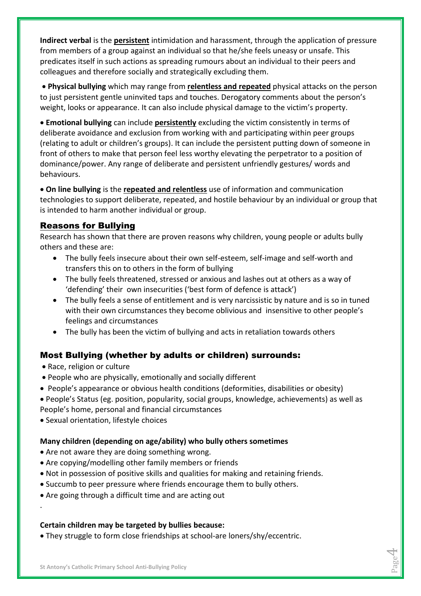**Indirect verbal** is the **persistent** intimidation and harassment, through the application of pressure from members of a group against an individual so that he/she feels uneasy or unsafe. This predicates itself in such actions as spreading rumours about an individual to their peers and colleagues and therefore socially and strategically excluding them.

 **Physical bullying** which may range from **relentless and repeated** physical attacks on the person to just persistent gentle uninvited taps and touches. Derogatory comments about the person's weight, looks or appearance. It can also include physical damage to the victim's property.

 **Emotional bullying** can include **persistently** excluding the victim consistently in terms of deliberate avoidance and exclusion from working with and participating within peer groups (relating to adult or children's groups). It can include the persistent putting down of someone in front of others to make that person feel less worthy elevating the perpetrator to a position of dominance/power. Any range of deliberate and persistent unfriendly gestures/ words and behaviours.

 **On line bullying** is the **repeated and relentless** use of information and communication technologies to support deliberate, repeated, and hostile behaviour by an individual or group that is intended to harm another individual or group.

# Reasons for Bullying

Research has shown that there are proven reasons why children, young people or adults bully others and these are:

- The bully feels insecure about their own self-esteem, self-image and self-worth and transfers this on to others in the form of bullying
- The bully feels threatened, stressed or anxious and lashes out at others as a way of 'defending' their own insecurities ('best form of defence is attack')
- The bully feels a sense of entitlement and is very narcissistic by nature and is so in tuned with their own circumstances they become oblivious and insensitive to other people's feelings and circumstances
- The bully has been the victim of bullying and acts in retaliation towards others

# Most Bullying (whether by adults or children) surrounds:

• Race, religion or culture

.

- People who are physically, emotionally and socially different
- People's appearance or obvious health conditions (deformities, disabilities or obesity)
- People's Status (eg. position, popularity, social groups, knowledge, achievements) as well as

Page 4

- People's home, personal and financial circumstances
- Sexual orientation, lifestyle choices

## **Many children (depending on age/ability) who bully others sometimes**

- Are not aware they are doing something wrong.
- Are copying/modelling other family members or friends
- Not in possession of positive skills and qualities for making and retaining friends.
- Succumb to peer pressure where friends encourage them to bully others.
- Are going through a difficult time and are acting out

## **Certain children may be targeted by bullies because:**

They struggle to form close friendships at school-are loners/shy/eccentric.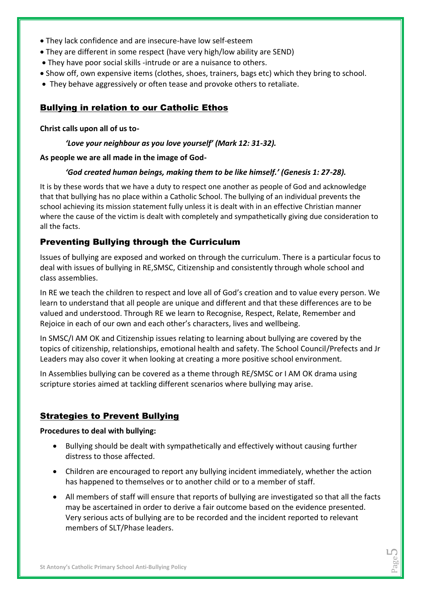- They lack confidence and are insecure-have low self-esteem
- They are different in some respect (have very high/low ability are SEND)
- They have poor social skills -intrude or are a nuisance to others.
- Show off, own expensive items (clothes, shoes, trainers, bags etc) which they bring to school.
- They behave aggressively or often tease and provoke others to retaliate.

# Bullying in relation to our Catholic Ethos

#### **Christ calls upon all of us to-**

#### *'Love your neighbour as you love yourself' (Mark 12: 31-32).*

#### **As people we are all made in the image of God-**

#### *'God created human beings, making them to be like himself.' (Genesis 1: 27-28).*

It is by these words that we have a duty to respect one another as people of God and acknowledge that that bullying has no place within a Catholic School. The bullying of an individual prevents the school achieving its mission statement fully unless it is dealt with in an effective Christian manner where the cause of the victim is dealt with completely and sympathetically giving due consideration to all the facts.

# Preventing Bullying through the Curriculum

Issues of bullying are exposed and worked on through the curriculum. There is a particular focus to deal with issues of bullying in RE,SMSC, Citizenship and consistently through whole school and class assemblies.

In RE we teach the children to respect and love all of God's creation and to value every person. We learn to understand that all people are unique and different and that these differences are to be valued and understood. Through RE we learn to Recognise, Respect, Relate, Remember and Rejoice in each of our own and each other's characters, lives and wellbeing.

In SMSC/I AM OK and Citizenship issues relating to learning about bullying are covered by the topics of citizenship, relationships, emotional health and safety. The School Council/Prefects and Jr Leaders may also cover it when looking at creating a more positive school environment.

In Assemblies bullying can be covered as a theme through RE/SMSC or I AM OK drama using scripture stories aimed at tackling different scenarios where bullying may arise.

# Strategies to Prevent Bullying

#### **Procedures to deal with bullying:**

- Bullying should be dealt with sympathetically and effectively without causing further distress to those affected.
- Children are encouraged to report any bullying incident immediately, whether the action has happened to themselves or to another child or to a member of staff.
- All members of staff will ensure that reports of bullying are investigated so that all the facts may be ascertained in order to derive a fair outcome based on the evidence presented. Very serious acts of bullying are to be recorded and the incident reported to relevant members of SLT/Phase leaders.

Page LO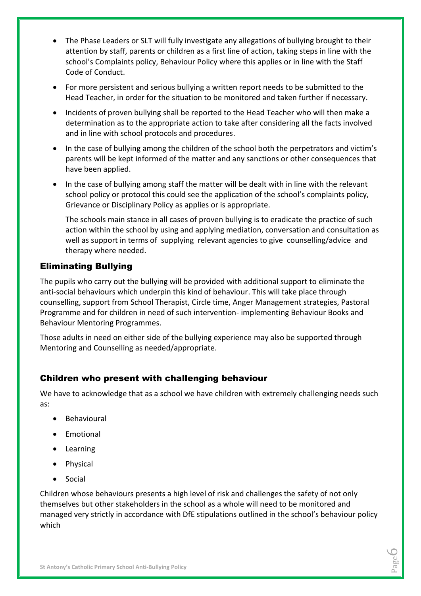- The Phase Leaders or SLT will fully investigate any allegations of bullying brought to their attention by staff, parents or children as a first line of action, taking steps in line with the school's Complaints policy, Behaviour Policy where this applies or in line with the Staff Code of Conduct.
- For more persistent and serious bullying a written report needs to be submitted to the Head Teacher, in order for the situation to be monitored and taken further if necessary.
- Incidents of proven bullying shall be reported to the Head Teacher who will then make a determination as to the appropriate action to take after considering all the facts involved and in line with school protocols and procedures.
- In the case of bullying among the children of the school both the perpetrators and victim's parents will be kept informed of the matter and any sanctions or other consequences that have been applied.
- In the case of bullying among staff the matter will be dealt with in line with the relevant school policy or protocol this could see the application of the school's complaints policy, Grievance or Disciplinary Policy as applies or is appropriate.

The schools main stance in all cases of proven bullying is to eradicate the practice of such action within the school by using and applying mediation, conversation and consultation as well as support in terms of supplying relevant agencies to give counselling/advice and therapy where needed.

# Eliminating Bullying

The pupils who carry out the bullying will be provided with additional support to eliminate the anti-social behaviours which underpin this kind of behaviour. This will take place through counselling, support from School Therapist, Circle time, Anger Management strategies, Pastoral Programme and for children in need of such intervention- implementing Behaviour Books and Behaviour Mentoring Programmes.

Those adults in need on either side of the bullying experience may also be supported through Mentoring and Counselling as needed/appropriate.

# Children who present with challenging behaviour

We have to acknowledge that as a school we have children with extremely challenging needs such as:

- Behavioural
- Emotional
- Learning
- Physical
- Social

Children whose behaviours presents a high level of risk and challenges the safety of not only themselves but other stakeholders in the school as a whole will need to be monitored and managed very strictly in accordance with DfE stipulations outlined in the school's behaviour policy which

> Page  $\circ$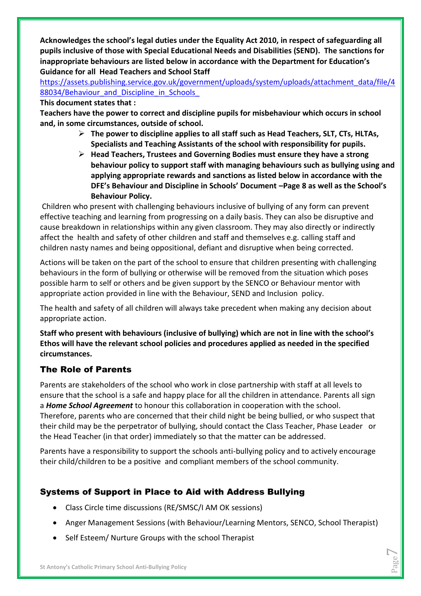**Acknowledges the school's legal duties under the Equality Act 2010, in respect of safeguarding all pupils inclusive of those with Special Educational Needs and Disabilities (SEND). The sanctions for inappropriate behaviours are listed below in accordance with the Department for Education's Guidance for all Head Teachers and School Staff**

[https://assets.publishing.service.gov.uk/government/uploads/system/uploads/attachment\\_data/file/4](https://assets.publishing.service.gov.uk/government/uploads/system/uploads/attachment_data/file/488034/Behaviour_and_Discipline_in_Schools_a) 88034/Behaviour\_and\_Discipline\_in\_Schools

#### **This document states that :**

**Teachers have the power to correct and discipline pupils for misbehaviour which occurs in school and, in some circumstances, outside of school.** 

- **The power to discipline applies to all staff such as Head Teachers, SLT, CTs, HLTAs, Specialists and Teaching Assistants of the school with responsibility for pupils.**
- **Head Teachers, Trustees and Governing Bodies must ensure they have a strong behaviour policy to support staff with managing behaviours such as bullying using and applying appropriate rewards and sanctions as listed below in accordance with the DFE's Behaviour and Discipline in Schools' Document –Page 8 as well as the School's Behaviour Policy.**

Children who present with challenging behaviours inclusive of bullying of any form can prevent effective teaching and learning from progressing on a daily basis. They can also be disruptive and cause breakdown in relationships within any given classroom. They may also directly or indirectly affect the health and safety of other children and staff and themselves e.g. calling staff and children nasty names and being oppositional, defiant and disruptive when being corrected.

Actions will be taken on the part of the school to ensure that children presenting with challenging behaviours in the form of bullying or otherwise will be removed from the situation which poses possible harm to self or others and be given support by the SENCO or Behaviour mentor with appropriate action provided in line with the Behaviour, SEND and Inclusion policy.

The health and safety of all children will always take precedent when making any decision about appropriate action.

**Staff who present with behaviours (inclusive of bullying) which are not in line with the school's Ethos will have the relevant school policies and procedures applied as needed in the specified circumstances.**

# The Role of Parents

Parents are stakeholders of the school who work in close partnership with staff at all levels to ensure that the school is a safe and happy place for all the children in attendance. Parents all sign a *Home School Agreement* to honour this collaboration in cooperation with the school. Therefore, parents who are concerned that their child night be being bullied, or who suspect that

their child may be the perpetrator of bullying, should contact the Class Teacher, Phase Leader or the Head Teacher (in that order) immediately so that the matter can be addressed.

Parents have a responsibility to support the schools anti-bullying policy and to actively encourage their child/children to be a positive and compliant members of the school community.

# Systems of Support in Place to Aid with Address Bullying

- Class Circle time discussions (RE/SMSC/I AM OK sessions)
- Anger Management Sessions (with Behaviour/Learning Mentors, SENCO, School Therapist)
- Self Esteem/ Nurture Groups with the school Therapist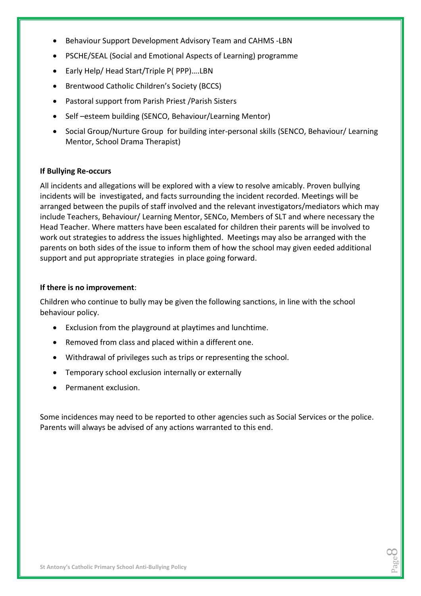- Behaviour Support Development Advisory Team and CAHMS -LBN
- PSCHE/SEAL (Social and Emotional Aspects of Learning) programme
- Early Help/ Head Start/Triple P(PPP)....LBN
- Brentwood Catholic Children's Society (BCCS)
- Pastoral support from Parish Priest /Parish Sisters
- Self-esteem building (SENCO, Behaviour/Learning Mentor)
- Social Group/Nurture Group for building inter-personal skills (SENCO, Behaviour/ Learning Mentor, School Drama Therapist)

#### **If Bullying Re-occurs**

All incidents and allegations will be explored with a view to resolve amicably. Proven bullying incidents will be investigated, and facts surrounding the incident recorded. Meetings will be arranged between the pupils of staff involved and the relevant investigators/mediators which may include Teachers, Behaviour/ Learning Mentor, SENCo, Members of SLT and where necessary the Head Teacher. Where matters have been escalated for children their parents will be involved to work out strategies to address the issues highlighted. Meetings may also be arranged with the parents on both sides of the issue to inform them of how the school may given eeded additional support and put appropriate strategies in place going forward.

#### **If there is no improvement**:

Children who continue to bully may be given the following sanctions, in line with the school behaviour policy.

- Exclusion from the playground at playtimes and lunchtime.
- Removed from class and placed within a different one.
- Withdrawal of privileges such as trips or representing the school.
- Temporary school exclusion internally or externally
- Permanent exclusion.

Some incidences may need to be reported to other agencies such as Social Services or the police. Parents will always be advised of any actions warranted to this end.

> Page  $\infty$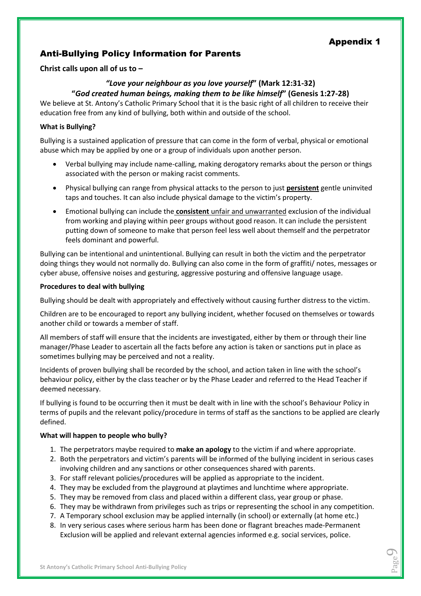Page  $\bigcirc$ 

# Anti-Bullying Policy Information for Parents

**Christ calls upon all of us to –**

## *"Love your neighbour as you love yourself***" (Mark 12:31-32) "***God created human beings, making them to be like himself***" (Genesis 1:27-28)**

We believe at St. Antony's Catholic Primary School that it is the basic right of all children to receive their education free from any kind of bullying, both within and outside of the school.

#### **What is Bullying?**

Bullying is a sustained application of pressure that can come in the form of verbal, physical or emotional abuse which may be applied by one or a group of individuals upon another person.

- Verbal bullying may include name-calling, making derogatory remarks about the person or things associated with the person or making racist comments.
- Physical bullying can range from physical attacks to the person to just **persistent** gentle uninvited taps and touches. It can also include physical damage to the victim's property.
- Emotional bullying can include the **consistent** unfair and unwarranted exclusion of the individual from working and playing within peer groups without good reason. It can include the persistent putting down of someone to make that person feel less well about themself and the perpetrator feels dominant and powerful.

Bullying can be intentional and unintentional. Bullying can result in both the victim and the perpetrator doing things they would not normally do. Bullying can also come in the form of graffiti/ notes, messages or cyber abuse, offensive noises and gesturing, aggressive posturing and offensive language usage.

#### **Procedures to deal with bullying**

Bullying should be dealt with appropriately and effectively without causing further distress to the victim.

Children are to be encouraged to report any bullying incident, whether focused on themselves or towards another child or towards a member of staff.

All members of staff will ensure that the incidents are investigated, either by them or through their line manager/Phase Leader to ascertain all the facts before any action is taken or sanctions put in place as sometimes bullying may be perceived and not a reality.

Incidents of proven bullying shall be recorded by the school, and action taken in line with the school's behaviour policy, either by the class teacher or by the Phase Leader and referred to the Head Teacher if deemed necessary.

If bullying is found to be occurring then it must be dealt with in line with the school's Behaviour Policy in terms of pupils and the relevant policy/procedure in terms of staff as the sanctions to be applied are clearly defined.

#### **What will happen to people who bully?**

- 1. The perpetrators maybe required to **make an apology** to the victim if and where appropriate.
- 2. Both the perpetrators and victim's parents will be informed of the bullying incident in serious cases involving children and any sanctions or other consequences shared with parents.
- 3. For staff relevant policies/procedures will be applied as appropriate to the incident.
- 4. They may be excluded from the playground at playtimes and lunchtime where appropriate.
- 5. They may be removed from class and placed within a different class, year group or phase.
- 6. They may be withdrawn from privileges such as trips or representing the school in any competition.
- 7. A Temporary school exclusion may be applied internally (in school) or externally (at home etc.)
- 8. In very serious cases where serious harm has been done or flagrant breaches made-Permanent Exclusion will be applied and relevant external agencies informed e.g. social services, police.